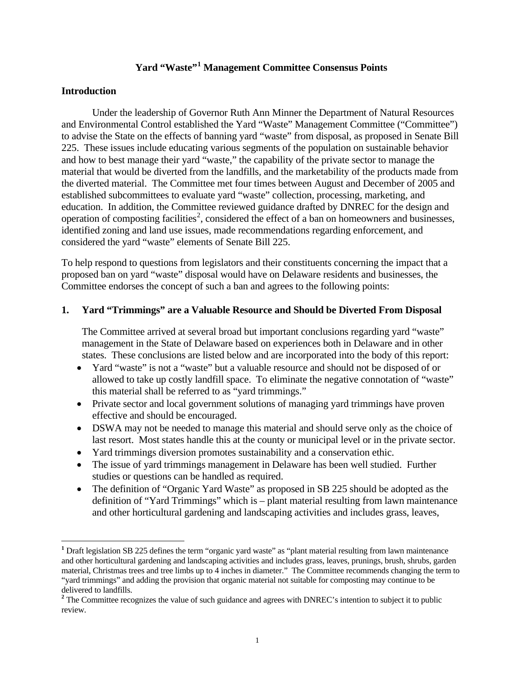# **Yard "Waste"[1](#page-0-0) Management Committee Consensus Points**

#### **Introduction**

Under the leadership of Governor Ruth Ann Minner the Department of Natural Resources and Environmental Control established the Yard "Waste" Management Committee ("Committee") to advise the State on the effects of banning yard "waste" from disposal, as proposed in Senate Bill 225. These issues include educating various segments of the population on sustainable behavior and how to best manage their yard "waste," the capability of the private sector to manage the material that would be diverted from the landfills, and the marketability of the products made from the diverted material. The Committee met four times between August and December of 2005 and established subcommittees to evaluate yard "waste" collection, processing, marketing, and education. In addition, the Committee reviewed guidance drafted by DNREC for the design and operation of composting facilities<sup>[2](#page-0-1)</sup>, considered the effect of a ban on homeowners and businesses, identified zoning and land use issues, made recommendations regarding enforcement, and considered the yard "waste" elements of Senate Bill 225.

To help respond to questions from legislators and their constituents concerning the impact that a proposed ban on yard "waste" disposal would have on Delaware residents and businesses, the Committee endorses the concept of such a ban and agrees to the following points:

#### **1. Yard "Trimmings" are a Valuable Resource and Should be Diverted From Disposal**

 The Committee arrived at several broad but important conclusions regarding yard "waste" management in the State of Delaware based on experiences both in Delaware and in other states. These conclusions are listed below and are incorporated into the body of this report:

- Yard "waste" is not a "waste" but a valuable resource and should not be disposed of or allowed to take up costly landfill space. To eliminate the negative connotation of "waste" this material shall be referred to as "yard trimmings."
- Private sector and local government solutions of managing yard trimmings have proven effective and should be encouraged.
- DSWA may not be needed to manage this material and should serve only as the choice of last resort. Most states handle this at the county or municipal level or in the private sector.
- Yard trimmings diversion promotes sustainability and a conservation ethic.
- The issue of yard trimmings management in Delaware has been well studied. Further studies or questions can be handled as required.
- The definition of "Organic Yard Waste" as proposed in SB 225 should be adopted as the definition of "Yard Trimmings" which is – plant material resulting from lawn maintenance and other horticultural gardening and landscaping activities and includes grass, leaves,

<span id="page-0-0"></span>**<sup>1</sup>** Draft legislation SB 225 defines the term "organic yard waste" as "plant material resulting from lawn maintenance and other horticultural gardening and landscaping activities and includes grass, leaves, prunings, brush, shrubs, garden material, Christmas trees and tree limbs up to 4 inches in diameter." The Committee recommends changing the term to "yard trimmings" and adding the provision that organic material not suitable for composting may continue to be delivered to landfills.

<span id="page-0-1"></span><sup>&</sup>lt;sup>2</sup> The Committee recognizes the value of such guidance and agrees with DNREC's intention to subject it to public review.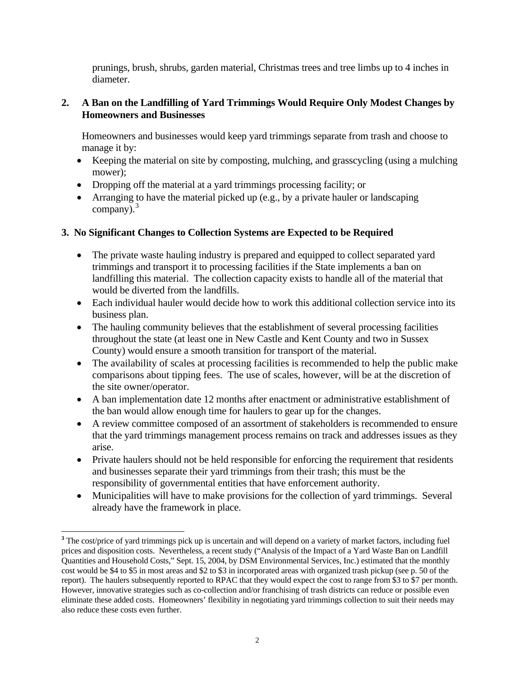prunings, brush, shrubs, garden material, Christmas trees and tree limbs up to 4 inches in diameter.

### **2. A Ban on the Landfilling of Yard Trimmings Would Require Only Modest Changes by Homeowners and Businesses**

 Homeowners and businesses would keep yard trimmings separate from trash and choose to manage it by:

- Keeping the material on site by composting, mulching, and grasscycling (using a mulching mower);
- Dropping off the material at a yard trimmings processing facility; or
- Arranging to have the material picked up (e.g., by a private hauler or landscaping company). $3$

# **3. No Significant Changes to Collection Systems are Expected to be Required**

- The private waste hauling industry is prepared and equipped to collect separated yard trimmings and transport it to processing facilities if the State implements a ban on landfilling this material. The collection capacity exists to handle all of the material that would be diverted from the landfills.
- Each individual hauler would decide how to work this additional collection service into its business plan.
- The hauling community believes that the establishment of several processing facilities throughout the state (at least one in New Castle and Kent County and two in Sussex County) would ensure a smooth transition for transport of the material.
- The availability of scales at processing facilities is recommended to help the public make comparisons about tipping fees. The use of scales, however, will be at the discretion of the site owner/operator.
- A ban implementation date 12 months after enactment or administrative establishment of the ban would allow enough time for haulers to gear up for the changes.
- A review committee composed of an assortment of stakeholders is recommended to ensure that the yard trimmings management process remains on track and addresses issues as they arise.
- Private haulers should not be held responsible for enforcing the requirement that residents and businesses separate their yard trimmings from their trash; this must be the responsibility of governmental entities that have enforcement authority.
- Municipalities will have to make provisions for the collection of yard trimmings. Several already have the framework in place.

<span id="page-1-0"></span>**<sup>3</sup>** The cost/price of yard trimmings pick up is uncertain and will depend on a variety of market factors, including fuel prices and disposition costs. Nevertheless, a recent study ("Analysis of the Impact of a Yard Waste Ban on Landfill Quantities and Household Costs," Sept. 15, 2004, by DSM Environmental Services, Inc.) estimated that the monthly cost would be \$4 to \$5 in most areas and \$2 to \$3 in incorporated areas with organized trash pickup (see p. 50 of the report). The haulers subsequently reported to RPAC that they would expect the cost to range from \$3 to \$7 per month. However, innovative strategies such as co-collection and/or franchising of trash districts can reduce or possible even eliminate these added costs. Homeowners' flexibility in negotiating yard trimmings collection to suit their needs may also reduce these costs even further.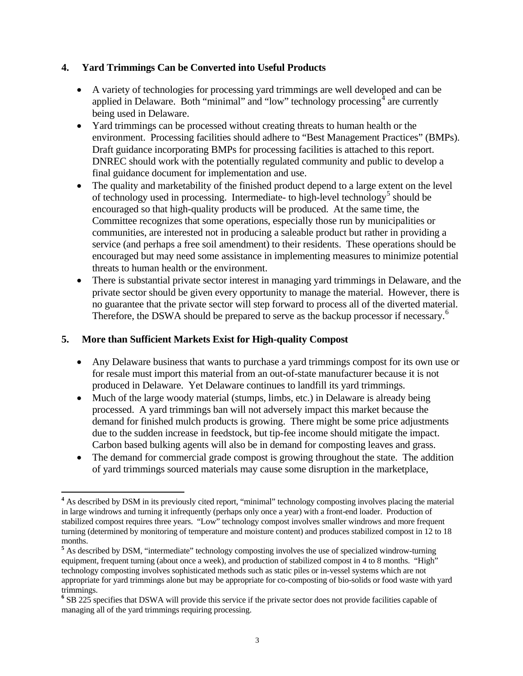### **4. Yard Trimmings Can be Converted into Useful Products**

- A variety of technologies for processing yard trimmings are well developed and can be applied in Delaware. Both "minimal" and "low" technology processing $\frac{3}{4}$  $\frac{3}{4}$  $\frac{3}{4}$  are currently being used in Delaware.
- Yard trimmings can be processed without creating threats to human health or the environment. Processing facilities should adhere to "Best Management Practices" (BMPs). Draft guidance incorporating BMPs for processing facilities is attached to this report. DNREC should work with the potentially regulated community and public to develop a final guidance document for implementation and use.
- The quality and marketability of the finished product depend to a large extent on the level of technology used in processing. Intermediate- to high-level technology<sup>[5](#page-2-1)</sup> should be encouraged so that high-quality products will be produced. At the same time, the Committee recognizes that some operations, especially those run by municipalities or communities, are interested not in producing a saleable product but rather in providing a service (and perhaps a free soil amendment) to their residents. These operations should be encouraged but may need some assistance in implementing measures to minimize potential threats to human health or the environment.
- There is substantial private sector interest in managing yard trimmings in Delaware, and the private sector should be given every opportunity to manage the material. However, there is no guarantee that the private sector will step forward to process all of the diverted material. Therefore, the DSWA should be prepared to serve as the backup processor if necessary.<sup>[6](#page-2-2)</sup>

### **5. More than Sufficient Markets Exist for High-quality Compost**

- Any Delaware business that wants to purchase a yard trimmings compost for its own use or for resale must import this material from an out-of-state manufacturer because it is not produced in Delaware. Yet Delaware continues to landfill its yard trimmings.
- Much of the large woody material (stumps, limbs, etc.) in Delaware is already being processed. A yard trimmings ban will not adversely impact this market because the demand for finished mulch products is growing. There might be some price adjustments due to the sudden increase in feedstock, but tip-fee income should mitigate the impact. Carbon based bulking agents will also be in demand for composting leaves and grass.
- The demand for commercial grade compost is growing throughout the state. The addition of yard trimmings sourced materials may cause some disruption in the marketplace,

<span id="page-2-0"></span> <sup>4</sup> As described by DSM in its previously cited report, "minimal" technology composting involves placing the material in large windrows and turning it infrequently (perhaps only once a year) with a front-end loader. Production of stabilized compost requires three years. "Low" technology compost involves smaller windrows and more frequent turning (determined by monitoring of temperature and moisture content) and produces stabilized compost in 12 to 18 months.

<span id="page-2-1"></span>**<sup>5</sup>** As described by DSM, "intermediate" technology composting involves the use of specialized windrow-turning equipment, frequent turning (about once a week), and production of stabilized compost in 4 to 8 months. "High" technology composting involves sophisticated methods such as static piles or in-vessel systems which are not appropriate for yard trimmings alone but may be appropriate for co-composting of bio-solids or food waste with yard trimmings.

<span id="page-2-2"></span>**<sup>6</sup>** SB 225 specifies that DSWA will provide this service if the private sector does not provide facilities capable of managing all of the yard trimmings requiring processing.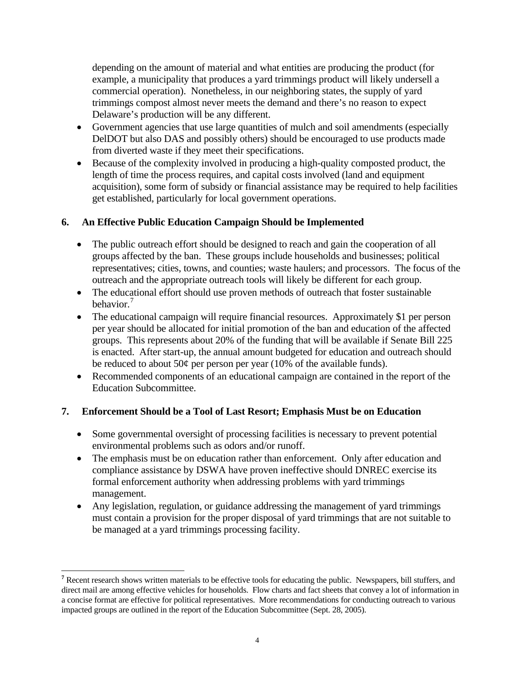depending on the amount of material and what entities are producing the product (for example, a municipality that produces a yard trimmings product will likely undersell a commercial operation). Nonetheless, in our neighboring states, the supply of yard trimmings compost almost never meets the demand and there's no reason to expect Delaware's production will be any different.

- Government agencies that use large quantities of mulch and soil amendments (especially DelDOT but also DAS and possibly others) should be encouraged to use products made from diverted waste if they meet their specifications.
- Because of the complexity involved in producing a high-quality composted product, the length of time the process requires, and capital costs involved (land and equipment acquisition), some form of subsidy or financial assistance may be required to help facilities get established, particularly for local government operations.

# **6. An Effective Public Education Campaign Should be Implemented**

- The public outreach effort should be designed to reach and gain the cooperation of all groups affected by the ban. These groups include households and businesses; political representatives; cities, towns, and counties; waste haulers; and processors. The focus of the outreach and the appropriate outreach tools will likely be different for each group.
- The educational effort should use proven methods of outreach that foster sustainable behavior.[7](#page-3-0)
- The educational campaign will require financial resources. Approximately \$1 per person per year should be allocated for initial promotion of the ban and education of the affected groups. This represents about 20% of the funding that will be available if Senate Bill 225 is enacted. After start-up, the annual amount budgeted for education and outreach should be reduced to about  $50¢$  per person per year (10% of the available funds).
- Recommended components of an educational campaign are contained in the report of the Education Subcommittee.

### **7. Enforcement Should be a Tool of Last Resort; Emphasis Must be on Education**

- Some governmental oversight of processing facilities is necessary to prevent potential environmental problems such as odors and/or runoff.
- The emphasis must be on education rather than enforcement. Only after education and compliance assistance by DSWA have proven ineffective should DNREC exercise its formal enforcement authority when addressing problems with yard trimmings management.
- Any legislation, regulation, or guidance addressing the management of yard trimmings must contain a provision for the proper disposal of yard trimmings that are not suitable to be managed at a yard trimmings processing facility.

<span id="page-3-0"></span>**<sup>7</sup>** Recent research shows written materials to be effective tools for educating the public. Newspapers, bill stuffers, and direct mail are among effective vehicles for households. Flow charts and fact sheets that convey a lot of information in a concise format are effective for political representatives. More recommendations for conducting outreach to various impacted groups are outlined in the report of the Education Subcommittee (Sept. 28, 2005).